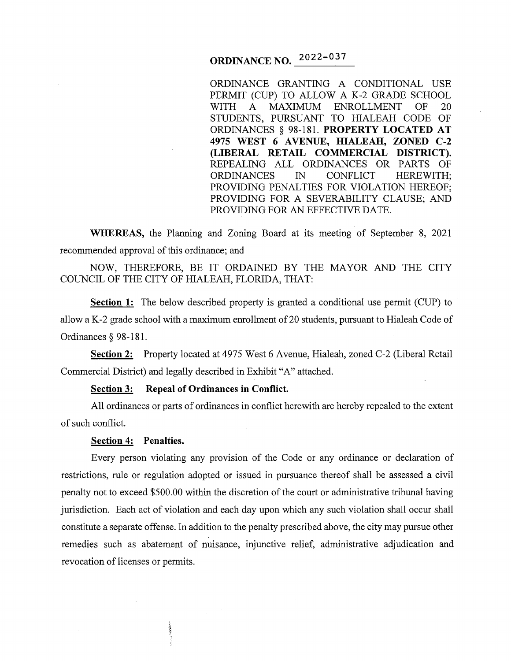# **ORDINANCE NO. 2022-037**

ORDINANCE GRANTING A CONDITIONAL USE PERMIT (CUP) TO ALLOW A K-2 GRADE SCHOOL WITH A MAXIMUM ENROLLMENT OF 20 STUDENTS, PURSUANT TO HIALEAH CODE OF ORDINANCES § 98-181. **PROPERTY LOCATED AT 4975 WEST 6 A VENUE, HIALEAH, ZONED C-2 (LIBERAL RETAIL COMMERCIAL DISTRICT).**  REPEALING ALL ORDINANCES OR PARTS OF ORDINANCES IN CONFLICT HEREWITH; PROVIDING PENALTIES FOR VIOLATION HEREOF; PROVIDING FOR A SEVERABILITY CLAUSE; AND PROVIDING FOR AN EFFECTIVE DATE.

**WHEREAS,** the Planning and Zoning Board at its meeting of September 8, 2021 recommended approval of this ordinance; and

NOW, THEREFORE, BE IT ORDAINED BY THE MAYOR AND THE CITY COUNCIL OF THE CITY OF HIALEAH, FLORIDA, THAT:

**Section 1:** The below described property is granted a conditional use permit (CUP) to allow a K-2 grade school with a maximum enrollment of 20 students, pursuant to Hialeah Code of Ordinances § 98-181.

**Section 2:** Property located at 4975 West 6 Avenue, Hialeah, zoned C-2 (Liberal Retail Commercial District) and legally described in Exhibit "A" attached.

#### **Section 3: Repeal of Ordinances in Conflict.**

All ordinances or parts of ordinances in conflict herewith are hereby repealed to the extent of such conflict.

## **Section 4: Penalties.**

Every person violating any provision of the Code or any ordinance or declaration of restrictions, rule or regulation adopted or issued in pursuance thereof shall be assessed a civil penalty not to exceed \$500.00 within the discretion of the court or administrative tribunal having jurisdiction. Each act of violation and each day upon which any such violation shall occur shall constitute a separate offense. In addition to the penalty prescribed above, the city may pursue other remedies such as abatement of nuisance, injunctive relief, administrative adjudication and revocation of licenses or permits.